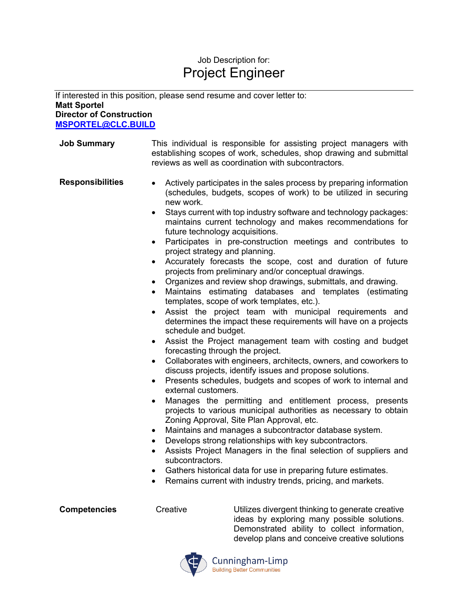## Job Description for: Project Engineer

If interested in this position, please send resume and cover letter to: **Matt Sportel Director of Construction MSPORTEL@CLC.BUILD**

- **Job Summary** This individual is responsible for assisting project managers with establishing scopes of work, schedules, shop drawing and submittal reviews as well as coordination with subcontractors. **Responsibilities** • Actively participates in the sales process by preparing information (schedules, budgets, scopes of work) to be utilized in securing new work. • Stays current with top industry software and technology packages: maintains current technology and makes recommendations for future technology acquisitions. • Participates in pre-construction meetings and contributes to project strategy and planning. • Accurately forecasts the scope, cost and duration of future projects from preliminary and/or conceptual drawings. • Organizes and review shop drawings, submittals, and drawing. Maintains estimating databases and templates (estimating templates, scope of work templates, etc.). Assist the project team with municipal requirements and determines the impact these requirements will have on a projects schedule and budget. • Assist the Project management team with costing and budget forecasting through the project. • Collaborates with engineers, architects, owners, and coworkers to discuss projects, identify issues and propose solutions. • Presents schedules, budgets and scopes of work to internal and external customers. Manages the permitting and entitlement process, presents projects to various municipal authorities as necessary to obtain Zoning Approval, Site Plan Approval, etc. • Maintains and manages a subcontractor database system. • Develops strong relationships with key subcontractors. • Assists Project Managers in the final selection of suppliers and subcontractors.
	- Gathers historical data for use in preparing future estimates.
	- Remains current with industry trends, pricing, and markets.

**Competencies** Creative Utilizes divergent thinking to generate creative ideas by exploring many possible solutions. Demonstrated ability to collect information, develop plans and conceive creative solutions



Cunningham-Limp **Building Better Communities**